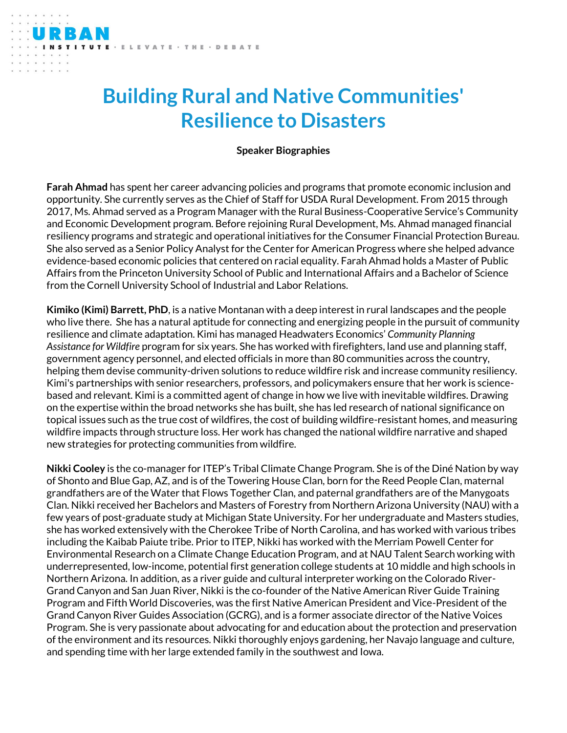ELEVATE - THE - DEBATE

## **Speaker Biographies**

**Farah Ahmad** has spent her career advancing policies and programs that promote economic inclusion and opportunity. She currently serves as the Chief of Staff for USDA Rural Development. From 2015 through 2017, Ms. Ahmad served as a Program Manager with the Rural Business-Cooperative Service's Community and Economic Development program. Before rejoining Rural Development, Ms. Ahmad managed financial resiliency programs and strategic and operational initiatives for the Consumer Financial Protection Bureau. She also served as a Senior Policy Analyst for the Center for American Progress where she helped advance evidence-based economic policies that centered on racial equality. Farah Ahmad holds a Master of Public Affairs from the Princeton University School of Public and International Affairs and a Bachelor of Science from the Cornell University School of Industrial and Labor Relations.

**Kimiko (Kimi) Barrett, PhD**, is a native Montanan with a deep interest in rural landscapes and the people who live there. She has a natural aptitude for connecting and energizing people in the pursuit of community resilience and climate adaptation. Kimi has managed Headwaters Economics' *Community Planning Assistance for Wildfire* program for six years. She has worked with firefighters, land use and planning staff, government agency personnel, and elected officials in more than 80 communities across the country, helping them devise community-driven solutions to reduce wildfire risk and increase community resiliency. Kimi's partnerships with senior researchers, professors, and policymakers ensure that her work is sciencebased and relevant. Kimi is a committed agent of change in how we live with inevitable wildfires. Drawing on the expertise within the broad networks she has built, she has led research of national significance on topical issues such as the true cost of wildfires, the cost of building wildfire-resistant homes, and measuring wildfire impacts through structure loss. Her work has changed the national wildfire narrative and shaped new strategies for protecting communities from wildfire.

**Nikki Cooley** is the co-manager for ITEP's Tribal Climate Change Program. She is of the Diné Nation by way of Shonto and Blue Gap, AZ, and is of the Towering House Clan, born for the Reed People Clan, maternal grandfathers are of the Water that Flows Together Clan, and paternal grandfathers are of the Manygoats Clan. Nikki received her Bachelors and Masters of Forestry from Northern Arizona University (NAU) with a few years of post-graduate study at Michigan State University. For her undergraduate and Masters studies, she has worked extensively with the Cherokee Tribe of North Carolina, and has worked with various tribes including the Kaibab Paiute tribe. Prior to ITEP, Nikki has worked with the Merriam Powell Center for Environmental Research on a Climate Change Education Program, and at NAU Talent Search working with underrepresented, low-income, potential first generation college students at 10 middle and high schools in Northern Arizona. In addition, as a river guide and cultural interpreter working on the Colorado River-Grand Canyon and San Juan River, Nikki is the co-founder of the Native American River Guide Training Program and Fifth World Discoveries, was the first Native American President and Vice-President of the Grand Canyon River Guides Association (GCRG), and is a former associate director of the Native Voices Program. She is very passionate about advocating for and education about the protection and preservation of the environment and its resources. Nikki thoroughly enjoys gardening, her Navajo language and culture, and spending time with her large extended family in the southwest and Iowa.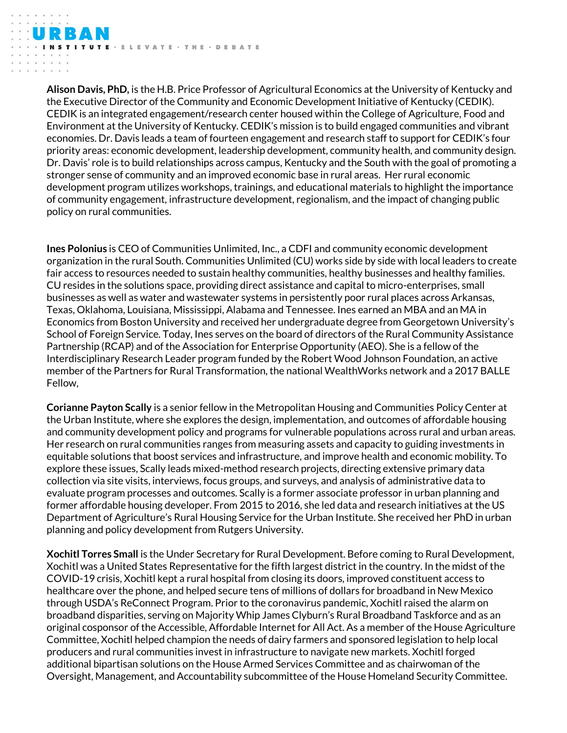**Alison Davis, PhD,** is the H.B. Price Professor of Agricultural Economics at the University of Kentucky and the Executive Director of the Community and Economic Development Initiative of Kentucky (CEDIK). CEDIK is an integrated engagement/research center housed within the College of Agriculture, Food and Environment at the University of Kentucky. CEDIK's mission is to build engaged communities and vibrant economies. Dr. Davis leads a team of fourteen engagement and research staff to support for CEDIK's four priority areas: economic development, leadership development, community health, and community design. Dr. Davis' role is to build relationships across campus, Kentucky and the South with the goal of promoting a stronger sense of community and an improved economic base in rural areas. Her rural economic development program utilizes workshops, trainings, and educational materials to highlight the importance of community engagement, infrastructure development, regionalism, and the impact of changing public policy on rural communities.

TUTE - ELEVATE - THE - DEBATE

**Ines Polonius** is CEO of Communities Unlimited, Inc., a CDFI and community economic development organization in the rural South. Communities Unlimited (CU) works side by side with local leaders to create fair access to resources needed to sustain healthy communities, healthy businesses and healthy families. CU resides in the solutions space, providing direct assistance and capital to micro-enterprises, small businesses as well as water and wastewater systems in persistently poor rural places across Arkansas, Texas, Oklahoma, Louisiana, Mississippi, Alabama and Tennessee. Ines earned an MBA and an MA in Economics from Boston University and received her undergraduate degree from Georgetown University's School of Foreign Service. Today, Ines serves on the board of directors of the Rural Community Assistance Partnership (RCAP) and of the Association for Enterprise Opportunity (AEO). She is a fellow of the Interdisciplinary Research Leader program funded by the Robert Wood Johnson Foundation, an active member of the Partners for Rural Transformation, the national WealthWorks network and a 2017 BALLE Fellow,

**Corianne Payton Scally** is a senior fellow in the Metropolitan Housing and Communities Policy Center at the Urban Institute, where she explores the design, implementation, and outcomes of affordable housing and community development policy and programs for vulnerable populations across rural and urban areas. Her research on rural communities ranges from measuring assets and capacity to guiding investments in equitable solutions that boost services and infrastructure, and improve health and economic mobility. To explore these issues, Scally leads mixed-method research projects, directing extensive primary data collection via site visits, interviews, focus groups, and surveys, and analysis of administrative data to evaluate program processes and outcomes. Scally is a former associate professor in urban planning and former affordable housing developer. From 2015 to 2016, she led data and research initiatives at the US Department of Agriculture's Rural Housing Service for the Urban Institute. She received her PhD in urban planning and policy development from Rutgers University.

**Xochitl Torres Small** is the Under Secretary for Rural Development. Before coming to Rural Development, Xochitl was a United States Representative for the fifth largest district in the country. In the midst of the COVID-19 crisis, Xochitl kept a rural hospital from closing its doors, improved constituent access to healthcare over the phone, and helped secure tens of millions of dollars for broadband in New Mexico through USDA's ReConnect Program. Prior to the coronavirus pandemic, Xochitl raised the alarm on broadband disparities, serving on Majority Whip James Clyburn's Rural Broadband Taskforce and as an original cosponsor of the Accessible, Affordable Internet for All Act. As a member of the House Agriculture Committee, Xochitl helped champion the needs of dairy farmers and sponsored legislation to help local producers and rural communities invest in infrastructure to navigate new markets. Xochitl forged additional bipartisan solutions on the House Armed Services Committee and as chairwoman of the Oversight, Management, and Accountability subcommittee of the House Homeland Security Committee.